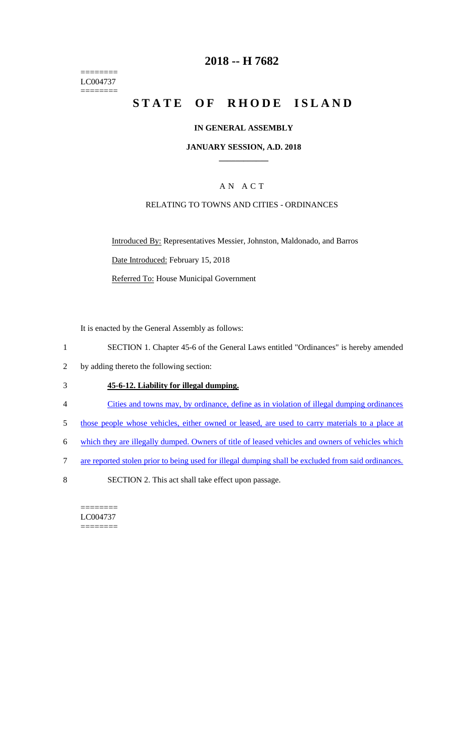======== LC004737  $=$ 

## **2018 -- H 7682**

# **STATE OF RHODE ISLAND**

#### **IN GENERAL ASSEMBLY**

#### **JANUARY SESSION, A.D. 2018 \_\_\_\_\_\_\_\_\_\_\_\_**

#### A N A C T

#### RELATING TO TOWNS AND CITIES - ORDINANCES

Introduced By: Representatives Messier, Johnston, Maldonado, and Barros Date Introduced: February 15, 2018 Referred To: House Municipal Government

It is enacted by the General Assembly as follows:

- 1 SECTION 1. Chapter 45-6 of the General Laws entitled "Ordinances" is hereby amended
- 2 by adding thereto the following section:

#### 3 **45-6-12. Liability for illegal dumping.**

- 4 Cities and towns may, by ordinance, define as in violation of illegal dumping ordinances
- 5 those people whose vehicles, either owned or leased, are used to carry materials to a place at
- 6 which they are illegally dumped. Owners of title of leased vehicles and owners of vehicles which
- 7 are reported stolen prior to being used for illegal dumping shall be excluded from said ordinances.
- 8 SECTION 2. This act shall take effect upon passage.

======== LC004737 ========